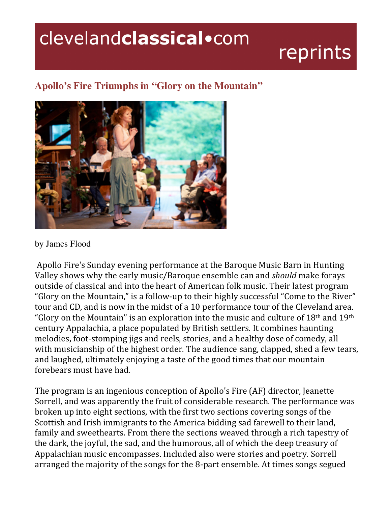## clevelandclassical.com

## reprints

## **Apollo's Fire Triumphs in "Glory on the Mountain"**



by James Flood

Apollo Fire's Sunday evening performance at the Baroque Music Barn in Hunting Valley shows why the early music/Baroque ensemble can and should make forays outside of classical and into the heart of American folk music. Their latest program "Glory on the Mountain," is a follow-up to their highly successful "Come to the River" tour and CD, and is now in the midst of a 10 performance tour of the Cleveland area. "Glory on the Mountain" is an exploration into the music and culture of  $18<sup>th</sup>$  and  $19<sup>th</sup>$ century Appalachia, a place populated by British settlers. It combines haunting melodies, foot-stomping jigs and reels, stories, and a healthy dose of comedy, all with musicianship of the highest order. The audience sang, clapped, shed a few tears, and laughed, ultimately enjoying a taste of the good times that our mountain forebears must have had.

The program is an ingenious conception of Apollo's Fire (AF) director, Jeanette Sorrell, and was apparently the fruit of considerable research. The performance was broken up into eight sections, with the first two sections covering songs of the Scottish and Irish immigrants to the America bidding sad farewell to their land, family and sweethearts. From there the sections weaved through a rich tapestry of the dark, the joyful, the sad, and the humorous, all of which the deep treasury of Appalachian music encompasses. Included also were stories and poetry. Sorrell arranged the majority of the songs for the 8-part ensemble. At times songs segued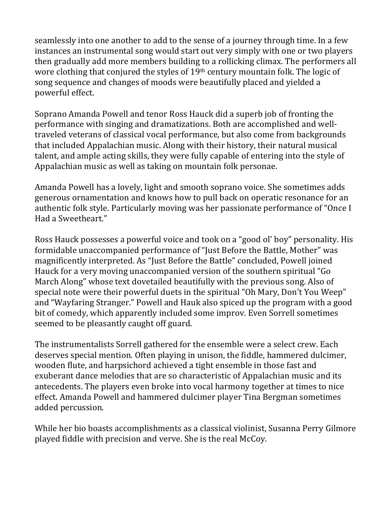seamlessly into one another to add to the sense of a journey through time. In a few instances an instrumental song would start out very simply with one or two players then gradually add more members building to a rollicking climax. The performers all wore clothing that conjured the styles of 19<sup>th</sup> century mountain folk. The logic of song sequence and changes of moods were beautifully placed and yielded a powerful effect.

Soprano Amanda Powell and tenor Ross Hauck did a superb job of fronting the performance with singing and dramatizations. Both are accomplished and welltraveled veterans of classical vocal performance, but also come from backgrounds that included Appalachian music. Along with their history, their natural musical talent, and ample acting skills, they were fully capable of entering into the style of Appalachian music as well as taking on mountain folk personae.

Amanda Powell has a lovely, light and smooth soprano voice. She sometimes adds generous ornamentation and knows how to pull back on operatic resonance for an authentic folk style. Particularly moving was her passionate performance of "Once I Had a Sweetheart."

Ross Hauck possesses a powerful voice and took on a "good ol' boy" personality. His formidable unaccompanied performance of "Just Before the Battle, Mother" was magnificently interpreted. As "Just Before the Battle" concluded, Powell joined Hauck for a very moving unaccompanied version of the southern spiritual "Go March Along" whose text dovetailed beautifully with the previous song. Also of special note were their powerful duets in the spiritual "Oh Mary, Don't You Weep" and "Wayfaring Stranger." Powell and Hauk also spiced up the program with a good bit of comedy, which apparently included some improy. Even Sorrell sometimes seemed to be pleasantly caught off guard.

The instrumentalists Sorrell gathered for the ensemble were a select crew. Each deserves special mention. Often playing in unison, the fiddle, hammered dulcimer, wooden flute, and harpsichord achieved a tight ensemble in those fast and exuberant dance melodies that are so characteristic of Appalachian music and its antecedents. The players even broke into vocal harmony together at times to nice effect. Amanda Powell and hammered dulcimer player Tina Bergman sometimes added percussion.

While her bio boasts accomplishments as a classical violinist, Susanna Perry Gilmore played fiddle with precision and verve. She is the real McCoy.